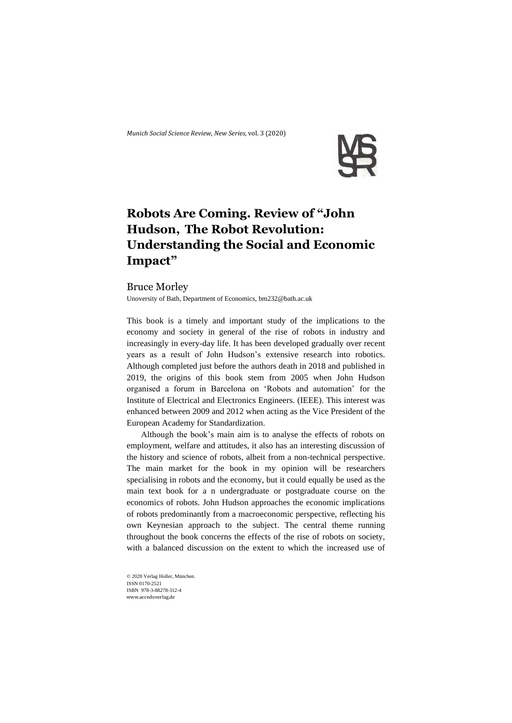*Munich Social Science Review*, *New Series,* vol. 3 (2020)



## **Robots Are Coming. Review of "John Hudson, The Robot Revolution: Understanding the Social and Economic Impact"**

## Bruce Morley

Unoversity of Bath, Department of Economics[, bm232@bath.ac.uk](mailto:bm232@bath.ac.uk)

This book is a timely and important study of the implications to the economy and society in general of the rise of robots in industry and increasingly in every-day life. It has been developed gradually over recent years as a result of John Hudson's extensive research into robotics. Although completed just before the authors death in 2018 and published in 2019, the origins of this book stem from 2005 when John Hudson organised a forum in Barcelona on 'Robots and automation' for the Institute of Electrical and Electronics Engineers. (IEEE). This interest was enhanced between 2009 and 2012 when acting as the Vice President of the European Academy for Standardization.

Although the book's main aim is to analyse the effects of robots on employment, welfare and attitudes, it also has an interesting discussion of the history and science of robots, albeit from a non-technical perspective. The main market for the book in my opinion will be researchers specialising in robots and the economy, but it could equally be used as the main text book for a n undergraduate or postgraduate course on the economics of robots. John Hudson approaches the economic implications of robots predominantly from a macroeconomic perspective, reflecting his own Keynesian approach to the subject. The central theme running throughout the book concerns the effects of the rise of robots on society, with a balanced discussion on the extent to which the increased use of

© 2020 Verlag Holler, München. ISSN 0170-2521 ISBN 978-3-88278-312-4 www.accedoverlag.de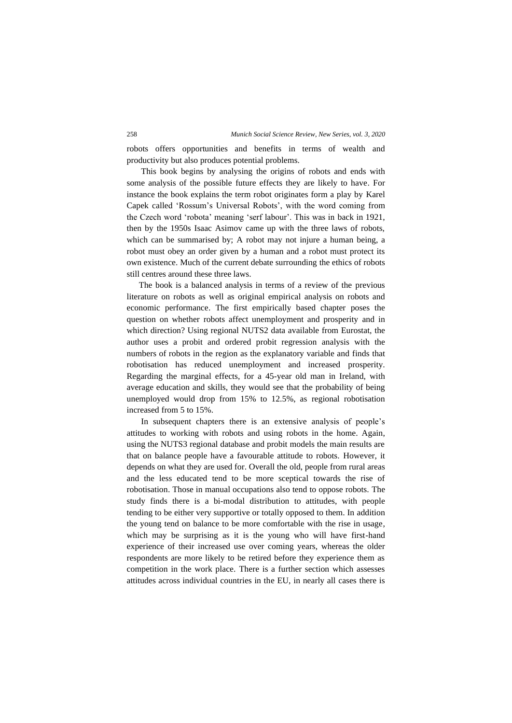robots offers opportunities and benefits in terms of wealth and productivity but also produces potential problems.

This book begins by analysing the origins of robots and ends with some analysis of the possible future effects they are likely to have. For instance the book explains the term robot originates form a play by Karel Capek called 'Rossum's Universal Robots', with the word coming from the Czech word 'robota' meaning 'serf labour'. This was in back in 1921, then by the 1950s Isaac Asimov came up with the three laws of robots, which can be summarised by; A robot may not injure a human being, a robot must obey an order given by a human and a robot must protect its own existence. Much of the current debate surrounding the ethics of robots still centres around these three laws.

The book is a balanced analysis in terms of a review of the previous literature on robots as well as original empirical analysis on robots and economic performance. The first empirically based chapter poses the question on whether robots affect unemployment and prosperity and in which direction? Using regional NUTS2 data available from Eurostat, the author uses a probit and ordered probit regression analysis with the numbers of robots in the region as the explanatory variable and finds that robotisation has reduced unemployment and increased prosperity. Regarding the marginal effects, for a 45-year old man in Ireland, with average education and skills, they would see that the probability of being unemployed would drop from 15% to 12.5%, as regional robotisation increased from 5 to 15%.

In subsequent chapters there is an extensive analysis of people's attitudes to working with robots and using robots in the home. Again, using the NUTS3 regional database and probit models the main results are that on balance people have a favourable attitude to robots. However, it depends on what they are used for. Overall the old, people from rural areas and the less educated tend to be more sceptical towards the rise of robotisation. Those in manual occupations also tend to oppose robots. The study finds there is a bi-modal distribution to attitudes, with people tending to be either very supportive or totally opposed to them. In addition the young tend on balance to be more comfortable with the rise in usage, which may be surprising as it is the young who will have first-hand experience of their increased use over coming years, whereas the older respondents are more likely to be retired before they experience them as competition in the work place. There is a further section which assesses attitudes across individual countries in the EU, in nearly all cases there is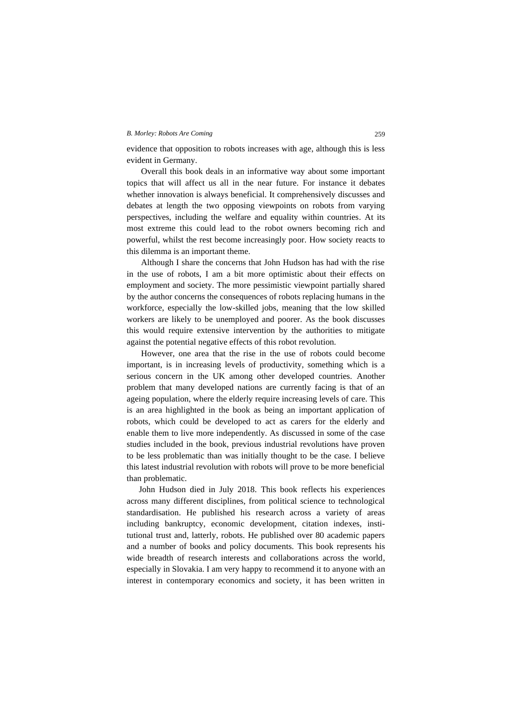## *B. Morley: Robots Are Coming* 259

evidence that opposition to robots increases with age, although this is less evident in Germany.

Overall this book deals in an informative way about some important topics that will affect us all in the near future. For instance it debates whether innovation is always beneficial. It comprehensively discusses and debates at length the two opposing viewpoints on robots from varying perspectives, including the welfare and equality within countries. At its most extreme this could lead to the robot owners becoming rich and powerful, whilst the rest become increasingly poor. How society reacts to this dilemma is an important theme.

Although I share the concerns that John Hudson has had with the rise in the use of robots, I am a bit more optimistic about their effects on employment and society. The more pessimistic viewpoint partially shared by the author concerns the consequences of robots replacing humans in the workforce, especially the low-skilled jobs, meaning that the low skilled workers are likely to be unemployed and poorer. As the book discusses this would require extensive intervention by the authorities to mitigate against the potential negative effects of this robot revolution.

However, one area that the rise in the use of robots could become important, is in increasing levels of productivity, something which is a serious concern in the UK among other developed countries. Another problem that many developed nations are currently facing is that of an ageing population, where the elderly require increasing levels of care. This is an area highlighted in the book as being an important application of robots, which could be developed to act as carers for the elderly and enable them to live more independently. As discussed in some of the case studies included in the book, previous industrial revolutions have proven to be less problematic than was initially thought to be the case. I believe this latest industrial revolution with robots will prove to be more beneficial than problematic.

John Hudson died in July 2018. This book reflects his experiences across many different disciplines, from political science to technological standardisation. He published his research across a variety of areas including bankruptcy, economic development, citation indexes, institutional trust and, latterly, robots. He published over 80 academic papers and a number of books and policy documents. This book represents his wide breadth of research interests and collaborations across the world, especially in Slovakia. I am very happy to recommend it to anyone with an interest in contemporary economics and society, it has been written in